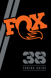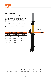

#### sag setting

To achieve the best performance from your FOX suspension, adjust the air pressure to attain your proper sag setting. Sag is the amount your suspension compresses under your weight and riding gear. Sag range should be set to 15–20% **of total fork travel**.

Make sure to set sag with the compression lever in the OPEN mode, see page 5.

Watch the sag setup video at **ridefox.com/ sagsetup**

| <b>Suggested Sag Measurements</b> |                |                 |  |
|-----------------------------------|----------------|-----------------|--|
| <b>Travel</b>                     | 15% sag (Firm) | 20% sag (Plush) |  |
| 150 mm (5.9 in)                   | 22 mm (.9 in)  | 30 mm (1.2 in)  |  |
| 160 mm (6.3 in)                   | 24 mm (1.0 in) | 32 mm (1.3 in)  |  |
| 170 mm (6.7 in)                   | 26 mm (1.0 in) | 34 mm (1.3 in)  |  |
| 180 mm (7 in)                     | 27 mm (1.0 in) | 36 mm (1.4 in)  |  |



Your fork has a 4 digit ID code on the back of the lower leg. Use this number on the Help page at www.ridefox.com to find out more information about your fork, including fork travel.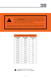



The recommended settings in this tuning guide are designed to be a **starting point**, in order to get you out on your first ride in as few steps as possible. Consult your bike manufacturer's instructions for setup recommendations.

As you ride and get used to your new fork, adjust your settings as needed. Detailed information and videos can be found in the online owner's manual.

| Suggested Starting Points for Setting Sag |                              |                                |  |
|-------------------------------------------|------------------------------|--------------------------------|--|
| <b>Rider Weight</b><br>(lbs)              | <b>Rider Weight</b><br>(kgs) | <b>FLOAT Pressure</b><br>(psi) |  |
| 120-130                                   | 54-59                        | 72                             |  |
| 130-140                                   | 59-64                        | 76                             |  |
| 140-150                                   | 64-68                        | 80                             |  |
| 150-160                                   | 68-73                        | 84                             |  |
| 160-170                                   | $73 - 77$                    | 89                             |  |
| 170-180                                   | 77-82                        | 93                             |  |
| 180-190                                   | 82-86                        | 97                             |  |
| 190-200                                   | 86-91                        | 102                            |  |
| 200-210                                   | 91-95                        | 106                            |  |
| 210-220                                   | 95-100                       | 110                            |  |
| 220-230                                   | 100-104                      | 114                            |  |
| 230-240                                   | 104-109                      | 119                            |  |
| 240-250                                   | 109-113                      | 123                            |  |



Do not exceed maximum air pressure: **38 FLOAT** maximum air pressure is **140 psi.**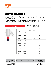

#### rebound ADJUSTment

The rebound adjustment is dependent on the air pressure setting. For example, higher air pressures require slower rebound settings. Use your air pressure to find your rebound setting.

**Turn your rebound knob to the closed position, clockwise until it stops. Then turn it counter-clockwise to the number of clicks shown in the table below.**

> of speed at which the fork extends after compressing.

|                                                                                      | Rider                    | Rider<br>Weight<br>Weight<br>(kgs) | <b>38 FIT4</b>                   | 38 GRIP             | <b>38 GRIP2</b>                                                              |                |
|--------------------------------------------------------------------------------------|--------------------------|------------------------------------|----------------------------------|---------------------|------------------------------------------------------------------------------|----------------|
|                                                                                      | (lbs)                    |                                    |                                  |                     | <b>LSR</b>                                                                   | <b>HSR</b>     |
|                                                                                      | 120-130                  | 54-59                              | 14                               | 13                  | 9                                                                            | 8              |
|                                                                                      | 130-140                  | 59-64                              | 13                               | 12                  | 8                                                                            | $\overline{7}$ |
| - HIGH SPEED<br>- LOW SPEED                                                          | 140-150                  | 64-68                              | 12                               | 11                  | $\overline{7}$                                                               | 6              |
|                                                                                      | 150-160                  | 68-73                              | 11                               | 10 <sup>°</sup>     | $\overline{7}$                                                               | 6              |
|                                                                                      | 160-170                  | $73 - 77$                          | 9                                | 9                   | 6                                                                            | 5              |
|                                                                                      | 170-180                  | $77 - 82$                          | 8                                | 8                   | 6                                                                            | 5              |
|                                                                                      | 180-190                  | 82-86                              | $\overline{7}$                   | $\overline{7}$      | 5                                                                            | $\overline{4}$ |
|                                                                                      | 190-200                  | 86-91                              | 6                                | 6                   | $\overline{4}$                                                               | 3              |
|                                                                                      | 200-210                  | $91 - 95$                          | 5                                | 5                   | $\overline{4}$                                                               | 3              |
|                                                                                      | 210-220                  | 95-100                             | $\overline{4}$                   | $\overline{4}$      | 3                                                                            | $\overline{2}$ |
|                                                                                      | 220-230                  | 100-104                            | $\overline{3}$                   | 3                   | $\overline{2}$                                                               | $\mathbf{1}$   |
|                                                                                      | 230-240                  | 104-109                            | $\overline{2}$                   | $\overline{2}$      | $\overline{2}$                                                               | $\mathbf{1}$   |
|                                                                                      | 240-250                  | 109-113                            | 1                                | 1                   | 1                                                                            | $\circ$        |
|                                                                                      |                          |                                    |                                  |                     |                                                                              |                |
| <b>OPEN</b><br>(COUNTER-CLOCKWISE)                                                   | 9<br>8<br>$\overline{7}$ | 6<br>5                             | $\overline{3}$<br>$\overline{4}$ | $\overline{2}$<br>1 | <b>CLOSED</b><br>(CLOCKWISE)                                                 |                |
| <b>LEAST AMOUNT OF</b><br>REBOUND DAMPING.<br><b>FORK REBOUNDS</b><br><b>FASTEST</b> |                          |                                    |                                  |                     | MOST AMOUNT OF<br>REBOUND DAMPING,<br><b>FORK REBOUNDS</b><br><b>SLOWEST</b> |                |

# **REBOUND Rebound** controls the rate

4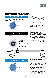

#### compression ADJUSTments

Begin with the 3-position lever in the OPEN mode.



FIT4 3-POSITION LEVER<br>The **3-position lever** is useful to make on-the-fly adjustments to control fork performance under significant changes in terrain, and is intended to be adjusted throughout the ride.

> Use the OPEN mode during rough descending, the MEDIUM mode for undulating terrain, and the FIRM mode for smooth climbing.

**\*OPEN mode adjust** is useful to control fork performance under rider weight shifts, G-outs, and slow inputs.

OPEN mode adjust provides 22 additional fine tuning adjustments for the OPEN mode.

Setting 18 will have a more plush feel and setting 1 will have a firmer feel.

> **CLOSED** (CLOCKWISE)

MOST AMOUNT OF COMPRESSION DAMPING; FORK **COMPRESSION FIRMEST**



Set the OPEN mode adjust to 18 clicks out (counter-clockwise until it stops).





The **3-Position Micro Adjust** lever is useful to make on-the-fly adjustments to control fork performance. Use the positions between the OPEN, MEDIUM, and FIRM modes to fine-tune your compression damping.

The **2-Position Sweep Adjust (36 Rhythm forks only)** lever is useful to make on-the-fly adjustments to control fork performance. Use the positions between OPEN and FIRM modes to fine-tune your compression damping.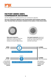

#### FACTORY SERIES GRIP2 compression ADJUSTERS

Use this diagram as a starting point for your compression adjusters. Die Einstellung der **Highspeed-Druckstufe**

Turn your compression adjusters to the closed position (full clockwise) until they stop. Then back them out (counter-clockwise) to the number of clicks shown below. und bei langsamer Krafteinwirkung zu steuern. und bei langsamer Krafteinwirkung zu steuern.

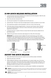

#### 15 MM QUICK RELEASE INSTALLATION

- 1. Loosen the pinch bolt, then install the front wheel into the fork dropouts. Slide the axle through the drive side dropout and hub.
- 2. Open the axle lever and pinch bolt.
- 3. Turn the axle clockwise 5-6 complete turns into the axle nut.
- 4. Close the lever. The lever must have enough tension to leave an imprint on your hand.
- 5. The closed lever position must be between 1-20 mm in front of the fork leg.
- 6. If the lever does not have enough tension, or has too much tension when closed at the recommended position (1-20 mm in front of the fork), see the next section for adjustment instructions.
- 7. Compress the fork a couple of times to ensure that the lower leg has settled into its low-friction point.
- 8. Tighten the pinch bolt on the drive side dropout to 5.1 Nm (45 in-lb) torque.

**IMPORTANT:** You will only need to tighten the pinch bolt during your first wheel installation. After tightening the pinch bolt, you may remove the QR axle and replace it without loosening or retightening the pinch bolt. If you are changing wheels or hubs, it is likely that the pinch bolt will need to be adjusted by following these installation instructions starting at step 1.



## ADJUST THE QUICK RELEASE

- 1. Note which direction the axle lever needs to turn to achieve proper orientation.
- 2. Open the axle lever in the fork.
- 3. While holding the QR lever open and stationary so it cannot rotate, use a 4 mm hex wrench in the center of the end of the axle to adjust the lever position. With the 4 mm adjuster set properly, you should start to feel tension in the axle when the QR lever is 90 degrees before full closure in the vertical position.
- 4. Repeat the axle installation instructions to verify proper installation and adjustment.



WARNING: Use hand pressure only. Never use any tool to tighten the 15QR levers onto the lower legs. Over-tightening the levers can damage the axle or fork dropouts, leading to a sudden failure with one or more of these components, resulting in SERIOUS INJURY OR DEATH.



WARNING: Failure to secure the axle properly can cause the wheel to become detached from the bicycle, resulting in SERIOUS INJURY OR DEATH.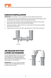

## KABOLTX INSTALLATION

**IMPORTANT:** The KaboltX is only compatible with the 2021 36 and 38 forks.

- 1. Loosen the pinch bolt, then install the front wheel into the fork dropouts. Slide the KaboltX axle through the drive side dropout and hub.
- 2. Use a 6 mm hex wrench to torque the KaboltX axle clockwise to the torque specification that is etched on the head of the Kabolt.
- 3. Compress the fork a couple of times to ensure that the lower leg has settled into its low-friction point.
- 4. Tighten the pinch bolt on the drive side dropout to 5.1 Nm (45 in-lb) torque.



## AIR RELEASE BUTTON/ LOWER LEG BLEEDERS

The Air Release Button at the rear of each fork leg allows for built up air pressure to be released for optimal performance. With the fork in the upright position, hold each button for 5-10 seconds.

**IMPORTANT:** You may notice some bath oil may come out of the bleeders during actuation, this is normal.

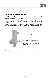

#### Mounting Disc Brakes

The 38 fork uses 180 mm post mounts that allow you to bolt your caliper directly to the fork and utilize a 180 mm rotor.

If your current 180 mm brake setup came with bolts and a caliper spacer, you may need to source shorter bolts as you will not need a caliper spacer when using a 180 mm rotor.

If using a 203-230 mm rotor, you will need to source the appropriate caliper spacer and bolts. Contact the brake manufacturer for further information.



WARNING: Follow your brake manufacturer's installation instructions for proper installation and adjustment of the brake system. Failure to properly install and adjust your brakes can lead to a loss of control of the bicycle which can result in SEVERE INJURY OR DEATH.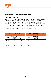

## Additional tuning options

#### clip-on Volume Spacers

Changing volume spacers in the 38 FLOAT fork is an easy internal adjustment that allows you to change the amount of mid stroke and bottom out resistance.

If you have set your sag correctly and are using full travel (bottoming out) too easily, then you could install one or more spacers to increase bottom out resistance.

If you have set your sag correctly and are not using full travel, then you could remove the spacer to decrease bottom out resistance.

Installation procedure and tuning options are available online at: **ridefox.com/ownersmanuals**

| <b>38 FLOAT Volume Spacer</b><br>Configurations |                                                             |                               |  |
|-------------------------------------------------|-------------------------------------------------------------|-------------------------------|--|
| <b>Travel</b>                                   | <b>Volume Spacers</b><br><b>Factory</b><br><b>Installed</b> | *Max Volume<br><b>Spacers</b> |  |
| 180 mm                                          |                                                             |                               |  |
| 170 mm                                          | 2                                                           | 5                             |  |
| 160 mm                                          | 3                                                           | 6                             |  |
| 150 mm                                          |                                                             |                               |  |

| 38 FLOAT E-Bike+ Volume Spacer<br>Configurations |                                                             |                               |  |
|--------------------------------------------------|-------------------------------------------------------------|-------------------------------|--|
| <b>Travel</b>                                    | <b>Volume Spacers</b><br><b>Factory</b><br><b>Installed</b> | *Max Volume<br><b>Spacers</b> |  |
| 180 mm                                           | 2                                                           |                               |  |
| 170 mm                                           | 3                                                           | 5                             |  |
| 160 mm                                           |                                                             | 6                             |  |
| 150 mm                                           |                                                             |                               |  |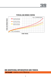



#### typical air spring curves

**FORK TRAVEL**

#### SEE ADDITIONAL INFORMATION AND VIDEOS:

38 FLOAT ridefox.com/38setup